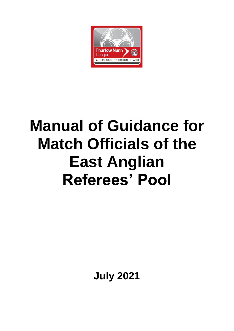

# **Manual of Guidance for Match Officials of the East Anglian Referees' Pool**

**July 2021**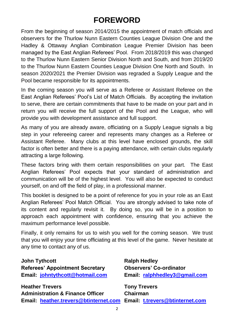# **FOREWORD**

From the beginning of season 2014/2015 the appointment of match officials and observers for the Thurlow Nunn Eastern Counties League Division One and the Hadley & Ottaway Anglian Combination League Premier Division has been managed by the East Anglian Referees' Pool. From 2018/2019 this was changed to the Thurlow Nunn Eastern Senior Division North and South, and from 2019/20 to the Thurlow Nunn Eastern Counties League Division One North and South. In season 2020/2021 the Premier Division was regraded a Supply League and the Pool became responsible for its appointments.

In the coming season you will serve as a Referee or Assistant Referee on the East Anglian Referees' Pool's List of Match Officials. By accepting the invitation to serve, there are certain commitments that have to be made on your part and in return you will receive the full support of the Pool and the League, who will provide you with development assistance and full support.

As many of you are already aware, officiating on a Supply League signals a big step in your refereeing career and represents many changes as a Referee or Assistant Referee. Many clubs at this level have enclosed grounds, the skill factor is often better and there is a paying attendance, with certain clubs regularly attracting a large following.

These factors bring with them certain responsibilities on your part. The East Anglian Referees' Pool expects that your standard of administration and communication will be of the highest level. You will also be expected to conduct yourself, on and off the field of play, in a professional manner.

This booklet is designed to be a point of reference for you in your role as an East Anglian Referees' Pool Match Official. You are strongly advised to take note of its content and regularly revisit it. By doing so, you will be in a position to approach each appointment with confidence, ensuring that you achieve the maximum performance level possible.

Finally, it only remains for us to wish you well for the coming season. We trust that you will enjoy your time officiating at this level of the game. Never hesitate at any time to contact any of us.

#### **John Tythcott Ralph Hedley**

**Referees' Appointment Secretary Observers' Co-ordinator Email: [johntythcott@hotmail.com](mailto:johntythcott@hotmail.com) Email: [ralphhedley3@gmail.com](mailto:ralphhedley3@gmail.com)**

**Heather Trevers Tony Trevers Administration & Finance Officer Chairman Email: [heather.trevers@btinternet.com](mailto:heather.trevers@btinternet.com) Email: [t.trevers@btinternet.com](mailto:t.trevers@btinternet.com)**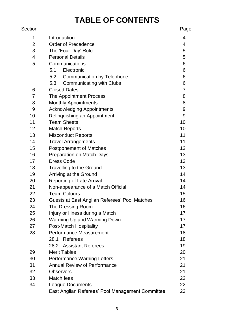# **TABLE OF CONTENTS**

| Section         |                                                  | Page            |
|-----------------|--------------------------------------------------|-----------------|
| 1               | Introduction                                     | 4               |
| $\overline{2}$  | <b>Order of Precedence</b>                       | 4               |
| 3               | The 'Four Day' Rule                              | 5               |
| $\overline{4}$  | <b>Personal Details</b>                          | 5               |
| 5               | Communications                                   | 6               |
|                 | Electronic<br>5.1                                | 6               |
|                 | <b>Communication by Telephone</b><br>5.2         | 6               |
|                 | <b>Communicating with Clubs</b><br>5.3           | 6               |
| 6               | <b>Closed Dates</b>                              | $\overline{7}$  |
| 7               | The Appointment Process                          | 8               |
| 8               | <b>Monthly Appointments</b>                      | 8               |
| 9               | <b>Acknowledging Appointments</b>                | 9               |
| 10              | Relinquishing an Appointment                     | $9\,$           |
| 11              | <b>Team Sheets</b>                               | 10              |
| 12 <sub>2</sub> | <b>Match Reports</b>                             | 10              |
| 13              | <b>Misconduct Reports</b>                        | 11              |
| 14              | <b>Travel Arrangements</b>                       | 11              |
| 15              | <b>Postponement of Matches</b>                   | 12 <sub>2</sub> |
| 16              | Preparation on Match Days                        | 13              |
| 17              | <b>Dress Code</b>                                | 13              |
| 18              | Travelling to the Ground                         | 13              |
| 19              | Arriving at the Ground                           | 14              |
| 20              | <b>Reporting of Late Arrival</b>                 | 14              |
| 21              | Non-appearance of a Match Official               | 14              |
| 22              | <b>Team Colours</b>                              | 15              |
| 23              | Guests at East Anglian Referees' Pool Matches    | 16              |
| 24              | The Dressing Room                                | 16              |
| 25              | Injury or Illness during a Match                 | 17              |
| 26              | Warming Up and Warming Down                      | 17              |
| 27              | Post-Match Hospitality                           | 17              |
| 28              | <b>Performance Measurement</b>                   | 18              |
|                 | Referees<br>28.1                                 | 18              |
|                 | 28.2 Assistant Referees                          | 19              |
| 29              | <b>Merit Tables</b>                              | 20              |
| 30              | <b>Performance Warning Letters</b>               | 21              |
| 31              | <b>Annual Review of Performance</b>              | 21              |
| 32              | <b>Observers</b>                                 | 21              |
| 33              | Match fees                                       | 22              |
| 34              | <b>League Documents</b>                          | 22              |
|                 | East Anglian Referees' Pool Management Committee | 23              |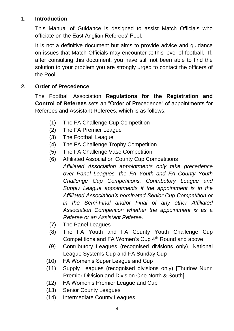# **1. Introduction**

This Manual of Guidance is designed to assist Match Officials who officiate on the East Anglian Referees' Pool.

It is not a definitive document but aims to provide advice and guidance on issues that Match Officials may encounter at this level of football. If, after consulting this document, you have still not been able to find the solution to your problem you are strongly urged to contact the officers of the Pool.

# **2. Order of Precedence**

The Football Association **Regulations for the Registration and Control of Referees** sets an "Order of Precedence" of appointments for Referees and Assistant Referees, which is as follows:

- (1) The FA Challenge Cup Competition
- (2) The FA Premier League
- (3) The Football League
- (4) The FA Challenge Trophy Competition
- (5) The FA Challenge Vase Competition
- (6) Affiliated Association County Cup Competitions *Affiliated Association appointments only take precedence over Panel Leagues, the FA Youth and FA County Youth Challenge Cup Competitions, Contributory League and Supply League appointments if the appointment is in the Affiliated Association's nominated Senior Cup Competition or in the Semi-Final and/or Final of any other Affiliated Association Competition whether the appointment is as a Referee or an Assistant Referee.*
- (7) The Panel Leagues
- (8) The FA Youth and FA County Youth Challenge Cup Competitions and FA Women's Cup 4<sup>th</sup> Round and above
- (9) Contributory Leagues (recognised divisions only), National League Systems Cup and FA Sunday Cup
- (10) FA Women's Super League and Cup
- (11) Supply Leagues (recognised divisions only) [Thurlow Nunn Premier Division and Division One North & South]
- (12) FA Women's Premier League and Cup
- (13) Senior County Leagues
- (14) Intermediate County Leagues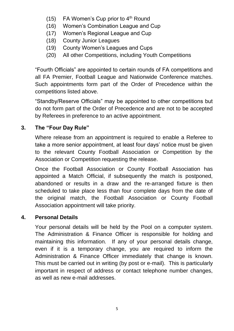- (15) FA Women's Cup prior to  $4<sup>th</sup>$  Round
- (16) Women's Combination League and Cup
- (17) Women's Regional League and Cup
- (18) County Junior Leagues
- (19) County Women's Leagues and Cups
- (20) All other Competitions, including Youth Competitions

"Fourth Officials" are appointed to certain rounds of FA competitions and all FA Premier, Football League and Nationwide Conference matches. Such appointments form part of the Order of Precedence within the competitions listed above.

"Standby/Reserve Officials" may be appointed to other competitions but do not form part of the Order of Precedence and are not to be accepted by Referees in preference to an active appointment.

# **3. The "Four Day Rule"**

Where release from an appointment is required to enable a Referee to take a more senior appointment, at least four days' notice must be given to the relevant County Football Association or Competition by the Association or Competition requesting the release.

Once the Football Association or County Football Association has appointed a Match Official, if subsequently the match is postponed, abandoned or results in a draw and the re-arranged fixture is then scheduled to take place less than four complete days from the date of the original match, the Football Association or County Football Association appointment will take priority.

# **4. Personal Details**

Your personal details will be held by the Pool on a computer system. The Administration & Finance Officer is responsible for holding and maintaining this information. If any of your personal details change, even if it is a temporary change, you are required to inform the Administration & Finance Officer immediately that change is known. This must be carried out in writing (by post or e-mail). This is particularly important in respect of address or contact telephone number changes, as well as new e-mail addresses.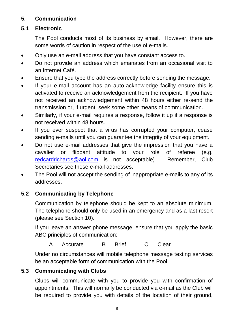# **5. Communication**

# **5.1 Electronic**

The Pool conducts most of its business by email. However, there are some words of caution in respect of the use of e-mails.

- Only use an e-mail address that you have constant access to.
- Do not provide an address which emanates from an occasional visit to an Internet Café.
- Ensure that you type the address correctly before sending the message.
- If your e-mail account has an auto-acknowledge facility ensure this is activated to receive an acknowledgement from the recipient. If you have not received an acknowledgement within 48 hours either re-send the transmission or, if urgent, seek some other means of communication.
- Similarly, if your e-mail requires a response, follow it up if a response is not received within 48 hours.
- If you ever suspect that a virus has corrupted your computer, cease sending e-mails until you can guarantee the integrity of your equipment.
- Do not use e-mail addresses that give the impression that you have a cavalier or flippant attitude to your role of referee (e.g. [redcardrichards@aol.com](mailto:redcardrichards@aol.com) is not acceptable). Remember, Club Secretaries see these e-mail addresses.
- The Pool will not accept the sending of inappropriate e-mails to any of its addresses.

# **5.2 Communicating by Telephone**

Communication by telephone should be kept to an absolute minimum. The telephone should only be used in an emergency and as a last resort (please see Section 10).

If you leave an answer phone message, ensure that you apply the basic ABC principles of communication:

A Accurate B Brief C Clear

Under no circumstances will mobile telephone message texting services be an acceptable form of communication with the Pool.

# **5.3 Communicating with Clubs**

Clubs will communicate with you to provide you with confirmation of appointments. This will normally be conducted via e-mail as the Club will be required to provide you with details of the location of their ground,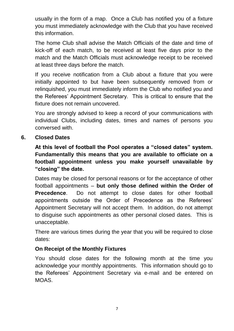usually in the form of a map. Once a Club has notified you of a fixture you must immediately acknowledge with the Club that you have received this information.

The home Club shall advise the Match Officials of the date and time of kick-off of each match, to be received at least five days prior to the match and the Match Officials must acknowledge receipt to be received at least three days before the match.

If you receive notification from a Club about a fixture that you were initially appointed to but have been subsequently removed from or relinquished, you must immediately inform the Club who notified you and the Referees' Appointment Secretary. This is critical to ensure that the fixture does not remain uncovered.

You are strongly advised to keep a record of your communications with individual Clubs, including dates, times and names of persons you conversed with.

# **6. Closed Dates**

**At this level of football the Pool operates a "closed dates" system. Fundamentally this means that you are available to officiate on a football appointment unless you make yourself unavailable by "closing" the date.**

Dates may be closed for personal reasons or for the acceptance of other football appointments – **but only those defined within the Order of Precedence**. Do not attempt to close dates for other football appointments outside the Order of Precedence as the Referees' Appointment Secretary will not accept them. In addition, do not attempt to disguise such appointments as other personal closed dates. This is unacceptable.

There are various times during the year that you will be required to close dates:

# **On Receipt of the Monthly Fixtures**

You should close dates for the following month at the time you acknowledge your monthly appointments. This information should go to the Referees' Appointment Secretary via e-mail and be entered on MOAS.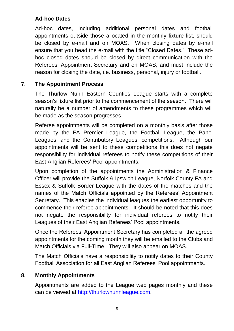# **Ad-hoc Dates**

Ad-hoc dates, including additional personal dates and football appointments outside those allocated in the monthly fixture list, should be closed by e-mail and on MOAS. When closing dates by e-mail ensure that you head the e-mail with the title "Closed Dates." These adhoc closed dates should be closed by direct communication with the Referees' Appointment Secretary and on MOAS, and must include the reason for closing the date, i.e. business, personal, injury or football.

# **7. The Appointment Process**

The Thurlow Nunn Eastern Counties League starts with a complete season's fixture list prior to the commencement of the season. There will naturally be a number of amendments to these programmes which will be made as the season progresses.

Referee appointments will be completed on a monthly basis after those made by the FA Premier League, the Football League, the Panel Leagues' and the Contributory Leagues' competitions. Although our appointments will be sent to these competitions this does not negate responsibility for individual referees to notify these competitions of their East Anglian Referees' Pool appointments.

Upon completion of the appointments the Administration & Finance Officer will provide the Suffolk & Ipswich League, Norfolk County FA and Essex & Suffolk Border League with the dates of the matches and the names of the Match Officials appointed by the Referees' Appointment Secretary. This enables the individual leagues the earliest opportunity to commence their referee appointments. It should be noted that this does not negate the responsibility for individual referees to notify their Leagues of their East Anglian Referees' Pool appointments.

Once the Referees' Appointment Secretary has completed all the agreed appointments for the coming month they will be emailed to the Clubs and Match Officials via Full-Time. They will also appear on MOAS.

The Match Officials have a responsibility to notify dates to their County Football Association for all East Anglian Referees' Pool appointments.

# **8. Monthly Appointments**

Appointments are added to the League web pages monthly and these can be viewed at [http://thurlownunnleague.com.](http://thurlownunnleague.com/)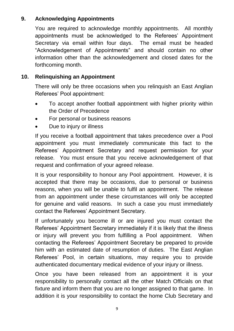# **9. Acknowledging Appointments**

You are required to acknowledge monthly appointments. All monthly appointments must be acknowledged to the Referees' Appointment Secretary via email within four days. The email must be headed "Acknowledgement of Appointments" and should contain no other information other than the acknowledgement and closed dates for the forthcoming month.

# **10. Relinquishing an Appointment**

There will only be three occasions when you relinquish an East Anglian Referees' Pool appointment:

- To accept another football appointment with higher priority within the Order of Precedence
- For personal or business reasons
- Due to injury or illness

If you receive a football appointment that takes precedence over a Pool appointment you must immediately communicate this fact to the Referees' Appointment Secretary and request permission for your release. You must ensure that you receive acknowledgement of that request and confirmation of your agreed release.

It is your responsibility to honour any Pool appointment. However, it is accepted that there may be occasions, due to personal or business reasons, when you will be unable to fulfil an appointment. The release from an appointment under these circumstances will only be accepted for genuine and valid reasons. In such a case you must immediately contact the Referees' Appointment Secretary.

If unfortunately you become ill or are injured you must contact the Referees' Appointment Secretary immediately if it is likely that the illness or injury will prevent you from fulfilling a Pool appointment. When contacting the Referees' Appointment Secretary be prepared to provide him with an estimated date of resumption of duties. The East Anglian Referees' Pool, in certain situations, may require you to provide authenticated documentary medical evidence of your injury or illness.

Once you have been released from an appointment it is your responsibility to personally contact all the other Match Officials on that fixture and inform them that you are no longer assigned to that game. In addition it is your responsibility to contact the home Club Secretary and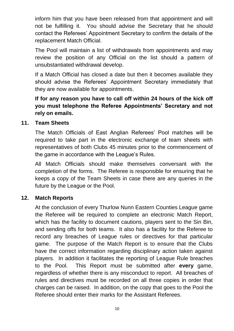inform him that you have been released from that appointment and will not be fulfilling it. You should advise the Secretary that he should contact the Referees' Appointment Secretary to confirm the details of the replacement Match Official.

The Pool will maintain a list of withdrawals from appointments and may review the position of any Official on the list should a pattern of unsubstantiated withdrawal develop.

If a Match Official has closed a date but then it becomes available they should advise the Referees' Appointment Secretary immediately that they are now available for appointments.

**If for any reason you have to call off within 24 hours of the kick off you must telephone the Referee Appointments' Secretary and not rely on emails.**

# **11. Team Sheets**

The Match Officials of East Anglian Referees' Pool matches will be required to take part in the electronic exchange of team sheets with representatives of both Clubs 45 minutes prior to the commencement of the game in accordance with the League's Rules.

All Match Officials should make themselves conversant with the completion of the forms. The Referee is responsible for ensuring that he keeps a copy of the Team Sheets in case there are any queries in the future by the League or the Pool.

# **12. Match Reports**

At the conclusion of every Thurlow Nunn Eastern Counties League game the Referee will be required to complete an electronic Match Report, which has the facility to document cautions, players sent to the Sin Bin, and sending offs for both teams. It also has a facility for the Referee to record any breaches of League rules or directives for that particular game. The purpose of the Match Report is to ensure that the Clubs have the correct information regarding disciplinary action taken against players. In addition it facilitates the reporting of League Rule breaches to the Pool. This Report must be submitted after **every** game, regardless of whether there is any misconduct to report. All breaches of rules and directives must be recorded on all three copies in order that charges can be raised. In addition, on the copy that goes to the Pool the Referee should enter their marks for the Assistant Referees.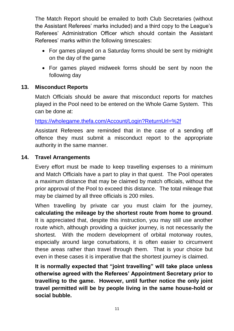The Match Report should be emailed to both Club Secretaries (without the Assistant Referees' marks included) and a third copy to the League's Referees' Administration Officer which should contain the Assistant Referees' marks within the following timescales:

- For games played on a Saturday forms should be sent by midnight on the day of the game
- For games played midweek forms should be sent by noon the following day

# **13. Misconduct Reports**

Match Officials should be aware that misconduct reports for matches played in the Pool need to be entered on the Whole Game System. This can be done at:

<https://wholegame.thefa.com/Account/Login?ReturnUrl=%2f>

Assistant Referees are reminded that in the case of a sending off offence they must submit a misconduct report to the appropriate authority in the same manner.

# **14. Travel Arrangements**

Every effort must be made to keep travelling expenses to a minimum and Match Officials have a part to play in that quest. The Pool operates a maximum distance that may be claimed by match officials, without the prior approval of the Pool to exceed this distance. The total mileage that may be claimed by all three officials is 200 miles.

When travelling by private car you must claim for the journey, **calculating the mileage by the shortest route from home to ground**. It is appreciated that, despite this instruction, you may still use another route which, although providing a quicker journey, is not necessarily the shortest. With the modern development of orbital motorway routes, especially around large conurbations, it is often easier to circumvent these areas rather than travel through them. That is your choice but even in these cases it is imperative that the shortest journey is claimed.

**It is normally expected that "joint travelling" will take place unless otherwise agreed with the Referees' Appointment Secretary prior to travelling to the game. However, until further notice the only joint travel permitted will be by people living in the same house-hold or social bubble.**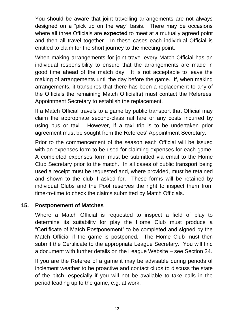You should be aware that joint travelling arrangements are not always designed on a "pick up on the way" basis. There may be occasions where all three Officials are **expected** to meet at a mutually agreed point and then all travel together. In these cases each individual Official is entitled to claim for the short journey to the meeting point.

When making arrangements for joint travel every Match Official has an individual responsibility to ensure that the arrangements are made in good time ahead of the match day. It is not acceptable to leave the making of arrangements until the day before the game. If, when making arrangements, it transpires that there has been a replacement to any of the Officials the remaining Match Official(s) must contact the Referees' Appointment Secretary to establish the replacement.

If a Match Official travels to a game by public transport that Official may claim the appropriate second-class rail fare or any costs incurred by using bus or taxi. However, if a taxi trip is to be undertaken prior agreement must be sought from the Referees' Appointment Secretary.

Prior to the commencement of the season each Official will be issued with an expenses form to be used for claiming expenses for each game. A completed expenses form must be submitted via email to the Home Club Secretary prior to the match. In all cases of public transport being used a receipt must be requested and, where provided, must be retained and shown to the club if asked for. These forms will be retained by individual Clubs and the Pool reserves the right to inspect them from time-to-time to check the claims submitted by Match Officials.

# **15. Postponement of Matches**

Where a Match Official is requested to inspect a field of play to determine its suitability for play the Home Club must produce a "Certificate of Match Postponement" to be completed and signed by the Match Official if the game is postponed. The Home Club must then submit the Certificate to the appropriate League Secretary. You will find a document with further details on the League Website – see Section 34.

If you are the Referee of a game it may be advisable during periods of inclement weather to be proactive and contact clubs to discuss the state of the pitch, especially if you will not be available to take calls in the period leading up to the game, e.g. at work.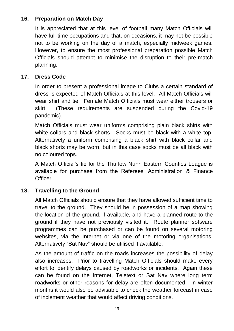# **16. Preparation on Match Day**

It is appreciated that at this level of football many Match Officials will have full-time occupations and that, on occasions, it may not be possible not to be working on the day of a match, especially midweek games. However, to ensure the most professional preparation possible Match Officials should attempt to minimise the disruption to their pre-match planning.

# **17. Dress Code**

In order to present a professional image to Clubs a certain standard of dress is expected of Match Officials at this level. All Match Officials will wear shirt and tie. Female Match Officials must wear either trousers or skirt. (These requirements are suspended during the Covid-19 pandemic).

Match Officials must wear uniforms comprising plain black shirts with white collars and black shorts. Socks must be black with a white top. Alternatively a uniform comprising a black shirt with black collar and black shorts may be worn, but in this case socks must be all black with no coloured tops.

A Match Official's tie for the Thurlow Nunn Eastern Counties League is available for purchase from the Referees' Administration & Finance Officer.

# **18. Travelling to the Ground**

All Match Officials should ensure that they have allowed sufficient time to travel to the ground. They should be in possession of a map showing the location of the ground, if available, and have a planned route to the ground if they have not previously visited it. Route planner software programmes can be purchased or can be found on several motoring websites, via the Internet or via one of the motoring organisations. Alternatively "Sat Nav" should be utilised if available.

As the amount of traffic on the roads increases the possibility of delay also increases. Prior to travelling Match Officials should make every effort to identify delays caused by roadworks or incidents. Again these can be found on the Internet, Teletext or Sat Nav where long term roadworks or other reasons for delay are often documented. In winter months it would also be advisable to check the weather forecast in case of inclement weather that would affect driving conditions.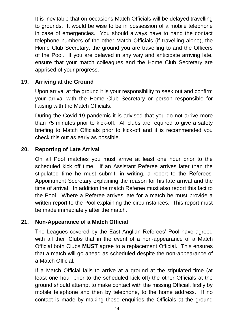It is inevitable that on occasions Match Officials will be delayed travelling to grounds. It would be wise to be in possession of a mobile telephone in case of emergencies. You should always have to hand the contact telephone numbers of the other Match Officials (if travelling alone), the Home Club Secretary, the ground you are travelling to and the Officers of the Pool. If you are delayed in any way and anticipate arriving late, ensure that your match colleagues and the Home Club Secretary are apprised of your progress.

# **19. Arriving at the Ground**

Upon arrival at the ground it is your responsibility to seek out and confirm your arrival with the Home Club Secretary or person responsible for liaising with the Match Officials.

During the Covid-19 pandemic it is advised that you do not arrive more than 75 minutes prior to kick-off. All clubs are required to give a safety briefing to Match Officials prior to kick-off and it is recommended you check this out as early as possible.

# **20. Reporting of Late Arrival**

On all Pool matches you must arrive at least one hour prior to the scheduled kick off time. If an Assistant Referee arrives later than the stipulated time he must submit, in writing, a report to the Referees' Appointment Secretary explaining the reason for his late arrival and the time of arrival. In addition the match Referee must also report this fact to the Pool. Where a Referee arrives late for a match he must provide a written report to the Pool explaining the circumstances. This report must be made immediately after the match.

# **21. Non-Appearance of a Match Official**

The Leagues covered by the East Anglian Referees' Pool have agreed with all their Clubs that in the event of a non-appearance of a Match Official both Clubs **MUST** agree to a replacement Official. This ensures that a match will go ahead as scheduled despite the non-appearance of a Match Official.

If a Match Official fails to arrive at a ground at the stipulated time (at least one hour prior to the scheduled kick off) the other Officials at the ground should attempt to make contact with the missing Official, firstly by mobile telephone and then by telephone, to the home address. If no contact is made by making these enquiries the Officials at the ground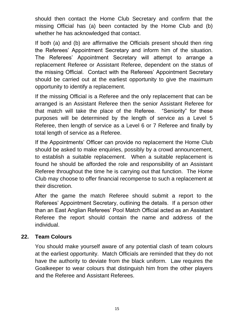should then contact the Home Club Secretary and confirm that the missing Official has (a) been contacted by the Home Club and (b) whether he has acknowledged that contact.

If both (a) and (b) are affirmative the Officials present should then ring the Referees' Appointment Secretary and inform him of the situation. The Referees' Appointment Secretary will attempt to arrange a replacement Referee or Assistant Referee, dependent on the status of the missing Official. Contact with the Referees' Appointment Secretary should be carried out at the earliest opportunity to give the maximum opportunity to identify a replacement.

If the missing Official is a Referee and the only replacement that can be arranged is an Assistant Referee then the senior Assistant Referee for that match will take the place of the Referee. "Seniority" for these purposes will be determined by the length of service as a Level 5 Referee, then length of service as a Level 6 or 7 Referee and finally by total length of service as a Referee.

If the Appointments' Officer can provide no replacement the Home Club should be asked to make enquiries, possibly by a crowd announcement, to establish a suitable replacement. When a suitable replacement is found he should be afforded the role and responsibility of an Assistant Referee throughout the time he is carrying out that function. The Home Club may choose to offer financial recompense to such a replacement at their discretion.

After the game the match Referee should submit a report to the Referees' Appointment Secretary, outlining the details. If a person other than an East Anglian Referees' Pool Match Official acted as an Assistant Referee the report should contain the name and address of the individual.

# **22. Team Colours**

You should make yourself aware of any potential clash of team colours at the earliest opportunity. Match Officials are reminded that they do not have the authority to deviate from the black uniform. Law requires the Goalkeeper to wear colours that distinguish him from the other players and the Referee and Assistant Referees.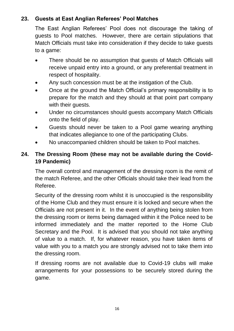# **23. Guests at East Anglian Referees' Pool Matches**

The East Anglian Referees' Pool does not discourage the taking of guests to Pool matches. However, there are certain stipulations that Match Officials must take into consideration if they decide to take guests to a game:

- There should be no assumption that guests of Match Officials will receive unpaid entry into a ground, or any preferential treatment in respect of hospitality.
- Any such concession must be at the instigation of the Club.
- Once at the ground the Match Official's primary responsibility is to prepare for the match and they should at that point part company with their guests.
- Under no circumstances should guests accompany Match Officials onto the field of play.
- Guests should never be taken to a Pool game wearing anything that indicates allegiance to one of the participating Clubs.
- No unaccompanied children should be taken to Pool matches.

# **24. The Dressing Room (these may not be available during the Covid-19 Pandemic)**

The overall control and management of the dressing room is the remit of the match Referee, and the other Officials should take their lead from the Referee.

Security of the dressing room whilst it is unoccupied is the responsibility of the Home Club and they must ensure it is locked and secure when the Officials are not present in it. In the event of anything being stolen from the dressing room or items being damaged within it the Police need to be informed immediately and the matter reported to the Home Club Secretary and the Pool. It is advised that you should not take anything of value to a match. If, for whatever reason, you have taken items of value with you to a match you are strongly advised not to take them into the dressing room.

If dressing rooms are not available due to Covid-19 clubs will make arrangements for your possessions to be securely stored during the game.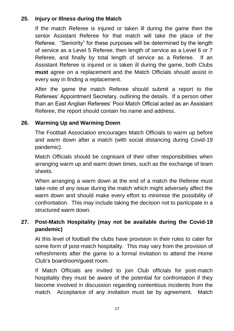# **25. Injury or Illness during the Match**

If the match Referee is injured or taken ill during the game then the senior Assistant Referee for that match will take the place of the Referee. "Seniority" for these purposes will be determined by the length of service as a Level 5 Referee, then length of service as a Level 6 or 7 Referee, and finally by total length of service as a Referee. If an Assistant Referee is injured or is taken ill during the game, both Clubs **must** agree on a replacement and the Match Officials should assist in every way in finding a replacement.

After the game the match Referee should submit a report to the Referees' Appointment Secretary, outlining the details. If a person other than an East Anglian Referees' Pool Match Official acted as an Assistant Referee, the report should contain his name and address.

# **26. Warming Up and Warming Down**

The Football Association encourages Match Officials to warm up before and warm down after a match (with social distancing during Covid-19 pandemic).

Match Officials should be cognisant of their other responsibilities when arranging warm up and warm down times, such as the exchange of team sheets.

When arranging a warm down at the end of a match the Referee must take note of any issue during the match which might adversely affect the warm down and should make every effort to minimise the possibility of confrontation. This may include taking the decision not to participate in a structured warm down.

# **27. Post-Match Hospitality (may not be available during the Covid-19 pandemic)**

At this level of football the clubs have provision in their rules to cater for some form of post-match hospitality. This may vary from the provision of refreshments after the game to a formal invitation to attend the Home Club's boardroom/guest room.

If Match Officials are invited to join Club officials for post-match hospitality they must be aware of the potential for confrontation if they become involved in discussion regarding contentious incidents from the match. Acceptance of any invitation must be by agreement. Match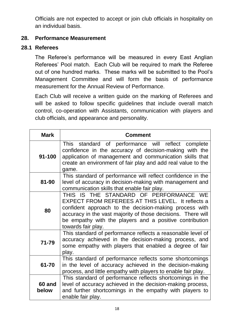Officials are not expected to accept or join club officials in hospitality on an individual basis.

# **28. Performance Measurement**

# **28.1 Referees**

The Referee's performance will be measured in every East Anglian Referees' Pool match. Each Club will be required to mark the Referee out of one hundred marks. These marks will be submitted to the Pool's Management Committee and will form the basis of performance measurement for the Annual Review of Performance.

Each Club will receive a written guide on the marking of Referees and will be asked to follow specific guidelines that include overall match control, co-operation with Assistants, communication with players and club officials, and appearance and personality.

| <b>Mark</b>     | Comment                                                                                                                                                                                                                                                                                                |
|-----------------|--------------------------------------------------------------------------------------------------------------------------------------------------------------------------------------------------------------------------------------------------------------------------------------------------------|
| 91-100          | This standard of performance will reflect complete<br>confidence in the accuracy of decision-making with the<br>application of management and communication skills that<br>create an environment of fair play and add real value to the<br>game.                                                       |
| 81-90           | This standard of performance will reflect confidence in the<br>level of accuracy in decision-making with management and<br>communication skills that enable fair play.                                                                                                                                 |
| 80              | THIS IS THE STANDARD OF PERFORMANCE WE<br>EXPECT FROM REFEREES AT THIS LEVEL. It reflects a<br>confident approach to the decision-making process with<br>accuracy in the vast majority of those decisions. There will<br>be empathy with the players and a positive contribution<br>towards fair play. |
| 71-79           | This standard of performance reflects a reasonable level of<br>accuracy achieved in the decision-making process, and<br>some empathy with players that enabled a degree of fair<br>play.                                                                                                               |
| 61-70           | This standard of performance reflects some shortcomings<br>in the level of accuracy achieved in the decision-making<br>process, and little empathy with players to enable fair play.                                                                                                                   |
| 60 and<br>below | This standard of performance reflects shortcomings in the<br>level of accuracy achieved in the decision-making process,<br>and further shortcomings in the empathy with players to<br>enable fair play.                                                                                                |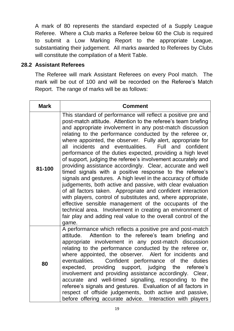A mark of 80 represents the standard expected of a Supply League Referee. Where a Club marks a Referee below 60 the Club is required to submit a Low Marking Report to the appropriate League, substantiating their judgement. All marks awarded to Referees by Clubs will constitute the compilation of a Merit Table.

#### **28.2 Assistant Referees**

The Referee will mark Assistant Referees on every Pool match. The mark will be out of 100 and will be recorded on the Referee's Match Report. The range of marks will be as follows:

| <b>Mark</b> | <b>Comment</b>                                                                                                                                                                                                                                                                                                                                                                                                                                                                                                                                                                                                                                                                                                                                                                                                                                                                                                                                                                                                                                                                                      |  |
|-------------|-----------------------------------------------------------------------------------------------------------------------------------------------------------------------------------------------------------------------------------------------------------------------------------------------------------------------------------------------------------------------------------------------------------------------------------------------------------------------------------------------------------------------------------------------------------------------------------------------------------------------------------------------------------------------------------------------------------------------------------------------------------------------------------------------------------------------------------------------------------------------------------------------------------------------------------------------------------------------------------------------------------------------------------------------------------------------------------------------------|--|
| 81-100      | This standard of performance will reflect a positive pre and<br>post-match attitude. Attention to the referee's team briefing<br>and appropriate involvement in any post-match discussion<br>relating to the performance conducted by the referee or,<br>where appointed, the observer. Fully alert, appropriate for<br>all incidents and eventualities.<br>Full and confident<br>performance of the duties expected, providing a high level<br>of support, judging the referee's involvement accurately and<br>providing assistance accordingly. Clear, accurate and well<br>timed signals with a positive response to the referee's<br>signals and gestures. A high level in the accuracy of offside<br>judgements, both active and passive, with clear evaluation<br>of all factors taken. Appropriate and confident interaction<br>with players, control of substitutes and, where appropriate,<br>effective sensible management of the occupants of the<br>technical area. Involvement in creating an environment of<br>fair play and adding real value to the overall control of the<br>game. |  |
| 80          | A performance which reflects a positive pre and post-match<br>Attention to the referee's team briefing and<br>attitude.<br>appropriate involvement in any post-match discussion<br>relating to the performance conducted by the referee or,<br>where appointed, the observer. Alert for incidents and<br>Confident performance of the<br>eventualities.<br>duties<br>expected, providing support, judging the<br>referee's<br>involvement and providing assistance accordingly. Clear,<br>accurate and well-timed signalling, responding to the<br>referee's signals and gestures. Evaluation of all factors in<br>respect of offside judgements, both active and passive,<br>before offering accurate advice. Interaction with players                                                                                                                                                                                                                                                                                                                                                             |  |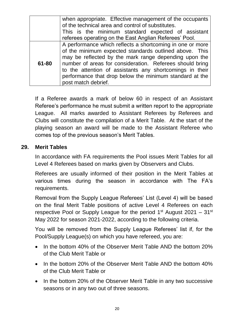|       | when appropriate. Effective management of the occupants<br>of the technical area and control of substitutes.<br>This is the minimum standard expected of assistant                                                                                                                                                                                                                     |  |
|-------|----------------------------------------------------------------------------------------------------------------------------------------------------------------------------------------------------------------------------------------------------------------------------------------------------------------------------------------------------------------------------------------|--|
|       | referees operating on the East Anglian Referees' Pool.                                                                                                                                                                                                                                                                                                                                 |  |
| 61-80 | A performance which reflects a shortcoming in one or more<br>of the minimum expected standards outlined above. This<br>may be reflected by the mark range depending upon the<br>number of areas for consideration. Referees should bring<br>to the attention of assistants any shortcomings in their<br>performance that drop below the minimum standard at the<br>post match debrief. |  |

If a Referee awards a mark of below 60 in respect of an Assistant Referee's performance he must submit a written report to the appropriate League. All marks awarded to Assistant Referees by Referees and Clubs will constitute the compilation of a Merit Table. At the start of the playing season an award will be made to the Assistant Referee who comes top of the previous season's Merit Tables.

# **29. Merit Tables**

In accordance with FA requirements the Pool issues Merit Tables for all Level 4 Referees based on marks given by Observers and Clubs.

Referees are usually informed of their position in the Merit Tables at various times during the season in accordance with The FA's requirements.

Removal from the Supply League Referees' List (Level 4) will be based on the final Merit Table positions of active Level 4 Referees on each respective Pool or Supply League for the period  $1<sup>st</sup>$  August 2021 –  $31<sup>st</sup>$ May 2022 for season 2021-2022, according to the following criteria.

You will be removed from the Supply League Referees' list if, for the Pool/Supply League(s) on which you have refereed, you are:

- In the bottom 40% of the Observer Merit Table AND the bottom 20% of the Club Merit Table or
- In the bottom 20% of the Observer Merit Table AND the bottom 40% of the Club Merit Table or
- In the bottom 20% of the Observer Merit Table in any two successive seasons or in any two out of three seasons.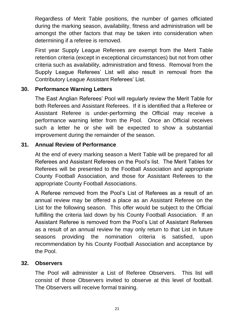Regardless of Merit Table positions, the number of games officiated during the marking season, availability, fitness and administration will be amongst the other factors that may be taken into consideration when determining if a referee is removed.

First year Supply League Referees are exempt from the Merit Table retention criteria (except in exceptional circumstances) but not from other criteria such as availability, administration and fitness. Removal from the Supply League Referees' List will also result in removal from the Contributory League Assistant Referees' List.

# **30. Performance Warning Letters**

The East Anglian Referees' Pool will regularly review the Merit Table for both Referees and Assistant Referees. If it is identified that a Referee or Assistant Referee is under-performing the Official may receive a performance warning letter from the Pool. Once an Official receives such a letter he or she will be expected to show a substantial improvement during the remainder of the season.

# **31. Annual Review of Performance**

At the end of every marking season a Merit Table will be prepared for all Referees and Assistant Referees on the Pool's list. The Merit Tables for Referees will be presented to the Football Association and appropriate County Football Association, and those for Assistant Referees to the appropriate County Football Associations.

A Referee removed from the Pool's List of Referees as a result of an annual review may be offered a place as an Assistant Referee on the List for the following season. This offer would be subject to the Official fulfilling the criteria laid down by his County Football Association. If an Assistant Referee is removed from the Pool's List of Assistant Referees as a result of an annual review he may only return to that List in future seasons providing the nomination criteria is satisfied, upon recommendation by his County Football Association and acceptance by the Pool.

#### **32. Observers**

The Pool will administer a List of Referee Observers. This list will consist of those Observers invited to observe at this level of football. The Observers will receive formal training.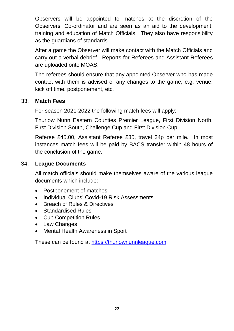Observers will be appointed to matches at the discretion of the Observers' Co-ordinator and are seen as an aid to the development, training and education of Match Officials. They also have responsibility as the guardians of standards.

After a game the Observer will make contact with the Match Officials and carry out a verbal debrief. Reports for Referees and Assistant Referees are uploaded onto MOAS.

The referees should ensure that any appointed Observer who has made contact with them is advised of any changes to the game, e.g. venue, kick off time, postponement, etc.

#### 33. **Match Fees**

For season 2021-2022 the following match fees will apply:

Thurlow Nunn Eastern Counties Premier League, First Division North, First Division South, Challenge Cup and First Division Cup

Referee £45.00, Assistant Referee £35, travel 34p per mile. In most instances match fees will be paid by BACS transfer within 48 hours of the conclusion of the game.

# 34. **League Documents**

All match officials should make themselves aware of the various league documents which include:

- Postponement of matches
- Individual Clubs' Covid-19 Risk Assessments
- Breach of Rules & Directives
- Standardised Rules
- Cup Competition Rules
- Law Changes
- Mental Health Awareness in Sport

These can be found at [https://thurlownunnleague.com.](https://thurlownunnleague.com/)